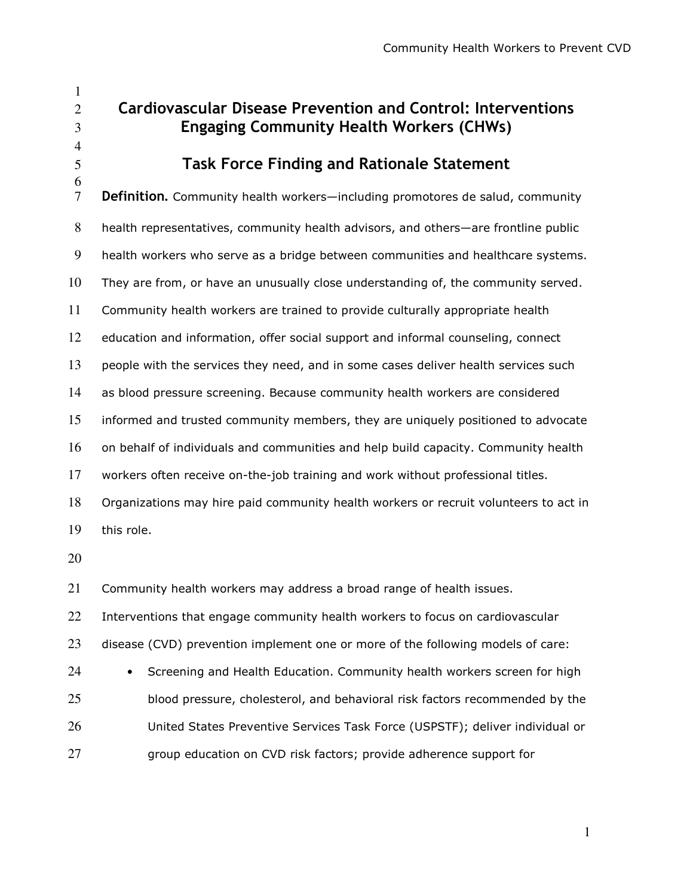Cardiovascular Disease Prevention and Control: Interventions Engaging Community Health Workers (CHWs) Task Force Finding and Rationale Statement Definition**.** Community health workers—including promotores de salud, community health representatives, community health advisors, and others—are frontline public health workers who serve as a bridge between communities and healthcare systems. They are from, or have an unusually close understanding of, the community served. Community health workers are trained to provide culturally appropriate health education and information, offer social support and informal counseling, connect people with the services they need, and in some cases deliver health services such as blood pressure screening. Because community health workers are considered informed and trusted community members, they are uniquely positioned to advocate on behalf of individuals and communities and help build capacity. Community health workers often receive on-the-job training and work without professional titles. Organizations may hire paid community health workers or recruit volunteers to act in this role. Community health workers may address a broad range of health issues. 22 Interventions that engage community health workers to focus on cardiovascular

disease (CVD) prevention implement one or more of the following models of care:

• Screening and Health Education. Community health workers screen for high blood pressure, cholesterol, and behavioral risk factors recommended by the United States Preventive Services Task Force (USPSTF); deliver individual or group education on CVD risk factors; provide adherence support for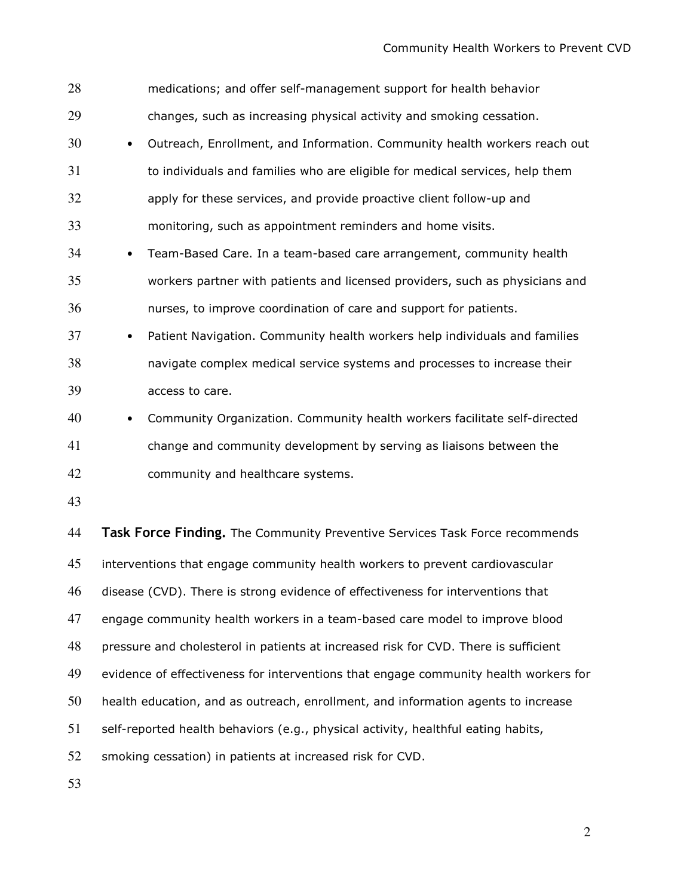| 28 |                                                                                     | medications; and offer self-management support for health behavior                   |
|----|-------------------------------------------------------------------------------------|--------------------------------------------------------------------------------------|
| 29 |                                                                                     | changes, such as increasing physical activity and smoking cessation.                 |
| 30 | $\bullet$                                                                           | Outreach, Enrollment, and Information. Community health workers reach out            |
| 31 |                                                                                     | to individuals and families who are eligible for medical services, help them         |
| 32 |                                                                                     | apply for these services, and provide proactive client follow-up and                 |
| 33 |                                                                                     | monitoring, such as appointment reminders and home visits.                           |
| 34 | $\bullet$                                                                           | Team-Based Care. In a team-based care arrangement, community health                  |
| 35 |                                                                                     | workers partner with patients and licensed providers, such as physicians and         |
| 36 |                                                                                     | nurses, to improve coordination of care and support for patients.                    |
| 37 | $\bullet$                                                                           | Patient Navigation. Community health workers help individuals and families           |
| 38 |                                                                                     | navigate complex medical service systems and processes to increase their             |
| 39 |                                                                                     | access to care.                                                                      |
| 40 | $\bullet$                                                                           | Community Organization. Community health workers facilitate self-directed            |
| 41 |                                                                                     | change and community development by serving as liaisons between the                  |
| 42 |                                                                                     | community and healthcare systems.                                                    |
| 43 |                                                                                     |                                                                                      |
| 44 |                                                                                     | Task Force Finding. The Community Preventive Services Task Force recommends          |
| 45 |                                                                                     | interventions that engage community health workers to prevent cardiovascular         |
| 46 |                                                                                     | disease (CVD). There is strong evidence of effectiveness for interventions that      |
| 47 | engage community health workers in a team-based care model to improve blood         |                                                                                      |
| 48 | pressure and cholesterol in patients at increased risk for CVD. There is sufficient |                                                                                      |
| 49 |                                                                                     | evidence of effectiveness for interventions that engage community health workers for |
| 50 |                                                                                     | health education, and as outreach, enrollment, and information agents to increase    |
| 51 |                                                                                     | self-reported health behaviors (e.g., physical activity, healthful eating habits,    |
|    |                                                                                     |                                                                                      |

smoking cessation) in patients at increased risk for CVD.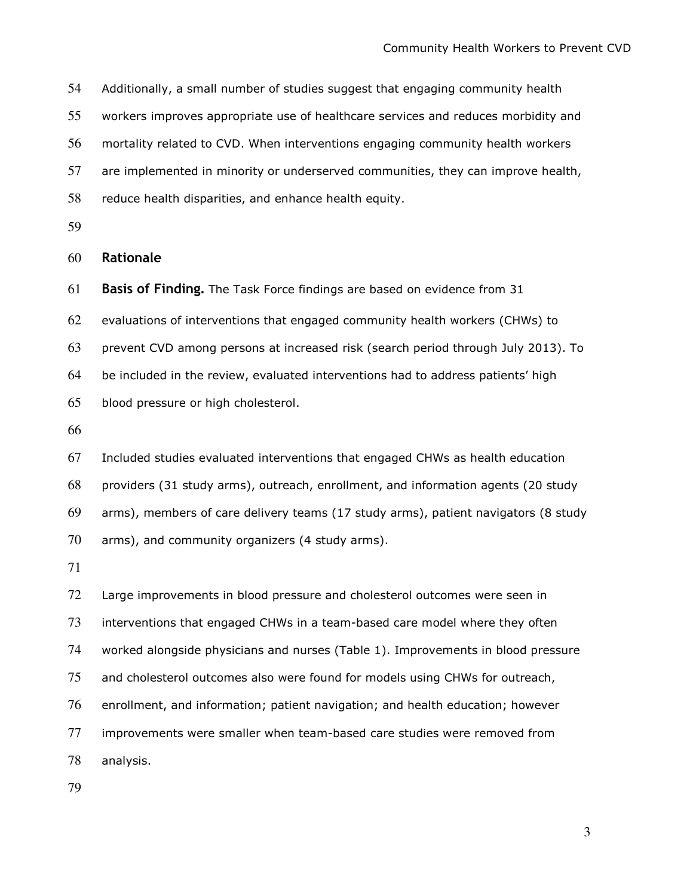Additionally, a small number of studies suggest that engaging community health

workers improves appropriate use of healthcare services and reduces morbidity and

mortality related to CVD. When interventions engaging community health workers

are implemented in minority or underserved communities, they can improve health,

reduce health disparities, and enhance health equity.

Rationale

Basis of Finding. The Task Force findings are based on evidence from 31

evaluations of interventions that engaged community health workers (CHWs) to

prevent CVD among persons at increased risk (search period through July 2013). To

be included in the review, evaluated interventions had to address patients' high blood pressure or high cholesterol.

Included studies evaluated interventions that engaged CHWs as health education providers (31 study arms), outreach, enrollment, and information agents (20 study arms), members of care delivery teams (17 study arms), patient navigators (8 study arms), and community organizers (4 study arms).

72 Large improvements in blood pressure and cholesterol outcomes were seen in interventions that engaged CHWs in a team-based care model where they often worked alongside physicians and nurses (Table 1). Improvements in blood pressure and cholesterol outcomes also were found for models using CHWs for outreach, enrollment, and information; patient navigation; and health education; however improvements were smaller when team-based care studies were removed from analysis.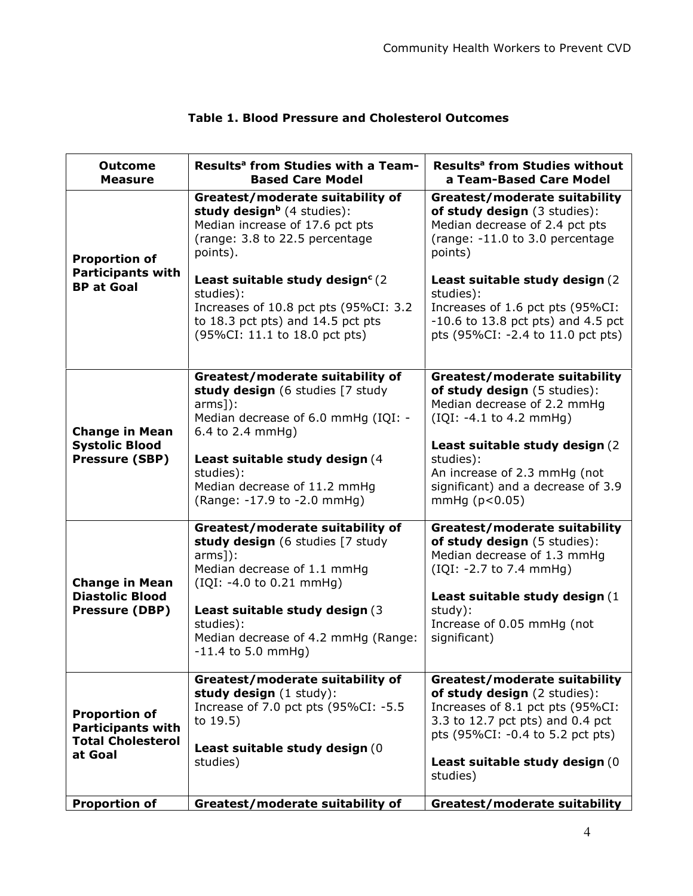| <b>Outcome</b><br><b>Measure</b>                 | Results <sup>a</sup> from Studies with a Team-<br><b>Based Care Model</b>                                                                                                | Results <sup>a</sup> from Studies without<br>a Team-Based Care Model                                                                                                             |
|--------------------------------------------------|--------------------------------------------------------------------------------------------------------------------------------------------------------------------------|----------------------------------------------------------------------------------------------------------------------------------------------------------------------------------|
| <b>Proportion of</b><br><b>Participants with</b> | Greatest/moderate suitability of<br>study design <sup>b</sup> (4 studies):<br>Median increase of 17.6 pct pts<br>(range: 3.8 to 22.5 percentage<br>points).              | <b>Greatest/moderate suitability</b><br>of study design (3 studies):<br>Median decrease of 2.4 pct pts<br>(range: -11.0 to 3.0 percentage<br>points)                             |
| <b>BP at Goal</b>                                | Least suitable study design <sup>c</sup> (2)<br>studies):<br>Increases of 10.8 pct pts (95%CI: 3.2<br>to 18.3 pct pts) and 14.5 pct pts<br>(95%CI: 11.1 to 18.0 pct pts) | Least suitable study design (2)<br>studies):<br>Increases of 1.6 pct pts (95%CI:<br>$-10.6$ to 13.8 pct pts) and 4.5 pct<br>pts (95%CI: -2.4 to 11.0 pct pts)                    |
| <b>Change in Mean</b>                            | Greatest/moderate suitability of<br>study design (6 studies [7 study<br>$arms$ ]):<br>Median decrease of 6.0 mmHg (IQI: -<br>6.4 to 2.4 mmHg)                            | <b>Greatest/moderate suitability</b><br>of study design (5 studies):<br>Median decrease of 2.2 mmHg<br>(IQI: -4.1 to 4.2 mmHg)                                                   |
| <b>Systolic Blood</b><br>Pressure (SBP)          | Least suitable study design (4<br>studies):<br>Median decrease of 11.2 mmHg<br>(Range: -17.9 to -2.0 mmHg)                                                               | Least suitable study design (2)<br>studies):<br>An increase of 2.3 mmHg (not<br>significant) and a decrease of 3.9<br>$mmHg$ ( $p<0.05$ )                                        |
| <b>Change in Mean</b><br><b>Diastolic Blood</b>  | Greatest/moderate suitability of<br>study design (6 studies [7 study<br>$arms$ ]):<br>Median decrease of 1.1 mmHg<br>$(IQI: -4.0 \text{ to } 0.21 \text{ mmHg})$         | Greatest/moderate suitability<br>of study design (5 studies):<br>Median decrease of 1.3 mmHg<br>(IQI: -2.7 to 7.4 mmHg)<br>Least suitable study design (1                        |
| Pressure (DBP)                                   | Least suitable study design (3)<br>studies):<br>Median decrease of 4.2 mmHg (Range:<br>$-11.4$ to 5.0 mmHg)                                                              | study):<br>Increase of 0.05 mmHg (not<br>significant)                                                                                                                            |
| <b>Proportion of</b><br><b>Participants with</b> | Greatest/moderate suitability of<br>study design (1 study):<br>Increase of 7.0 pct pts (95%CI: -5.5<br>to 19.5)                                                          | <b>Greatest/moderate suitability</b><br>of study design (2 studies):<br>Increases of 8.1 pct pts (95%CI:<br>3.3 to 12.7 pct pts) and 0.4 pct<br>pts (95%CI: -0.4 to 5.2 pct pts) |
| <b>Total Cholesterol</b><br>at Goal              | Least suitable study design (0<br>studies)                                                                                                                               | Least suitable study design (0)<br>studies)                                                                                                                                      |
| <b>Proportion of</b>                             | Greatest/moderate suitability of                                                                                                                                         | <b>Greatest/moderate suitability</b>                                                                                                                                             |

### Table 1. Blood Pressure and Cholesterol Outcomes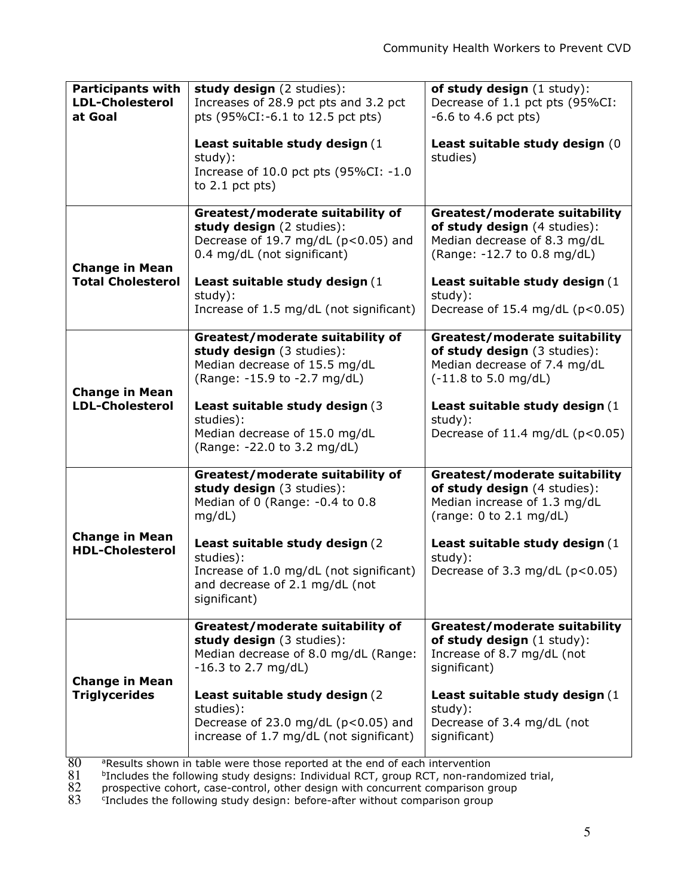| <b>Participants with</b><br><b>LDL-Cholesterol</b><br>at Goal | study design (2 studies):<br>Increases of 28.9 pct pts and 3.2 pct<br>pts (95%CI:-6.1 to 12.5 pct pts)<br>Least suitable study design (1<br>study):<br>Increase of 10.0 pct pts (95%CI: -1.0<br>to $2.1$ pct pts)                                                | of study design (1 study):<br>Decrease of 1.1 pct pts (95%CI:<br>$-6.6$ to 4.6 pct pts)<br>Least suitable study design (0<br>studies)                                                                                             |
|---------------------------------------------------------------|------------------------------------------------------------------------------------------------------------------------------------------------------------------------------------------------------------------------------------------------------------------|-----------------------------------------------------------------------------------------------------------------------------------------------------------------------------------------------------------------------------------|
| <b>Change in Mean</b><br><b>Total Cholesterol</b>             | Greatest/moderate suitability of<br>study design (2 studies):<br>Decrease of 19.7 mg/dL (p<0.05) and<br>0.4 mg/dL (not significant)<br>Least suitable study design (1<br>study):<br>Increase of 1.5 mg/dL (not significant)                                      | <b>Greatest/moderate suitability</b><br>of study design (4 studies):<br>Median decrease of 8.3 mg/dL<br>(Range: -12.7 to 0.8 mg/dL)<br>Least suitable study design (1<br>study):<br>Decrease of 15.4 mg/dL $(p<0.05)$             |
| <b>Change in Mean</b><br><b>LDL-Cholesterol</b>               | Greatest/moderate suitability of<br>study design (3 studies):<br>Median decrease of 15.5 mg/dL<br>(Range: -15.9 to -2.7 mg/dL)<br>Least suitable study design (3)<br>studies):<br>Median decrease of 15.0 mg/dL<br>(Range: -22.0 to 3.2 mg/dL)                   | <b>Greatest/moderate suitability</b><br>of study design (3 studies):<br>Median decrease of 7.4 mg/dL<br>$(-11.8 \text{ to } 5.0 \text{ mg/dL})$<br>Least suitable study design (1<br>study):<br>Decrease of 11.4 mg/dL $(p<0.05)$ |
| <b>Change in Mean</b><br><b>HDL-Cholesterol</b>               | Greatest/moderate suitability of<br>study design (3 studies):<br>Median of 0 (Range: -0.4 to 0.8<br>mg/dL)<br>Least suitable study design (2)<br>studies):<br>Increase of 1.0 mg/dL (not significant)<br>and decrease of 2.1 mg/dL (not<br>significant)          | <b>Greatest/moderate suitability</b><br>of study design (4 studies):<br>Median increase of 1.3 mg/dL<br>(range: $0$ to $2.1$ mg/dL)<br>Least suitable study design (1<br>study):<br>Decrease of 3.3 mg/dL $(p<0.05)$              |
| <b>Change in Mean</b><br><b>Triglycerides</b>                 | Greatest/moderate suitability of<br>study design (3 studies):<br>Median decrease of 8.0 mg/dL (Range:<br>$-16.3$ to 2.7 mg/dL)<br>Least suitable study design (2)<br>studies):<br>Decrease of 23.0 mg/dL (p<0.05) and<br>increase of 1.7 mg/dL (not significant) | <b>Greatest/moderate suitability</b><br>of study design (1 study):<br>Increase of 8.7 mg/dL (not<br>significant)<br>Least suitable study design (1<br>study):<br>Decrease of 3.4 mg/dL (not<br>significant)                       |

80 aResults shown in table were those reported at the end of each intervention 81 bIncludes the following study designs: Individual RCT, group RCT, non-rando prospective cohort, case-control, other design with concurrent <sup>b</sup>Includes the following study designs: Individual RCT, group RCT, non-randomized trial,

82 prospective cohort, case-control, other design with concurrent comparison group

change of the prospective estimate control of the following study design: before-after without comparison group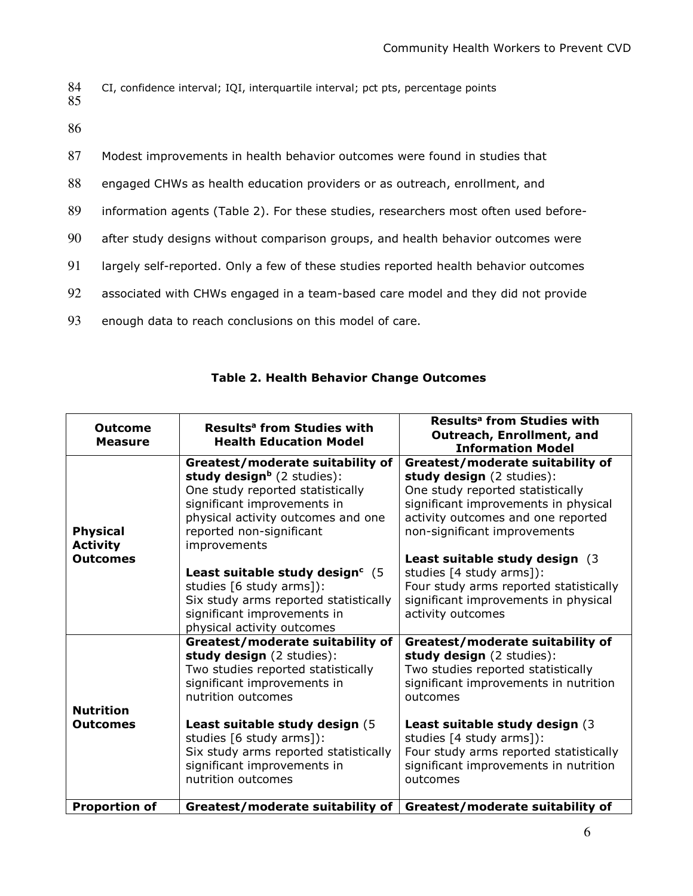```
CI, confidence interval; IQI, interquartile interval; pct pts, percentage points
84<br>85
```
86

| 87 | Modest improvements in health behavior outcomes were found in studies that           |
|----|--------------------------------------------------------------------------------------|
| 88 | engaged CHWs as health education providers or as outreach, enrollment, and           |
| 89 | information agents (Table 2). For these studies, researchers most often used before- |
| 90 | after study designs without comparison groups, and health behavior outcomes were     |
| 91 | largely self-reported. Only a few of these studies reported health behavior outcomes |
| 92 | associated with CHWs engaged in a team-based care model and they did not provide     |
| 93 | enough data to reach conclusions on this model of care.                              |

| Outcome<br><b>Measure</b>          | Results <sup>a</sup> from Studies with<br><b>Health Education Model</b>                                                                                                        | Results <sup>a</sup> from Studies with<br>Outreach, Enrollment, and<br><b>Information Model</b>                                                                    |
|------------------------------------|--------------------------------------------------------------------------------------------------------------------------------------------------------------------------------|--------------------------------------------------------------------------------------------------------------------------------------------------------------------|
|                                    | Greatest/moderate suitability of<br>study design <sup>b</sup> (2 studies):<br>One study reported statistically                                                                 | Greatest/moderate suitability of<br>study design (2 studies):<br>One study reported statistically                                                                  |
|                                    | significant improvements in<br>physical activity outcomes and one                                                                                                              | significant improvements in physical<br>activity outcomes and one reported                                                                                         |
| <b>Physical</b><br><b>Activity</b> | reported non-significant<br>improvements                                                                                                                                       | non-significant improvements                                                                                                                                       |
| <b>Outcomes</b>                    | Least suitable study design <sup>c</sup> (5)<br>studies [6 study arms]):<br>Six study arms reported statistically<br>significant improvements in<br>physical activity outcomes | Least suitable study design (3)<br>studies [4 study arms]):<br>Four study arms reported statistically<br>significant improvements in physical<br>activity outcomes |
| <b>Nutrition</b>                   | Greatest/moderate suitability of<br>study design (2 studies):<br>Two studies reported statistically<br>significant improvements in<br>nutrition outcomes                       | Greatest/moderate suitability of<br>study design (2 studies):<br>Two studies reported statistically<br>significant improvements in nutrition<br>outcomes           |
| <b>Outcomes</b>                    | Least suitable study design (5<br>studies [6 study arms]):<br>Six study arms reported statistically<br>significant improvements in<br>nutrition outcomes                       | Least suitable study design (3)<br>studies [4 study arms]):<br>Four study arms reported statistically<br>significant improvements in nutrition<br>outcomes         |
| <b>Proportion of</b>               | Greatest/moderate suitability of                                                                                                                                               | Greatest/moderate suitability of                                                                                                                                   |

## Table 2. Health Behavior Change Outcomes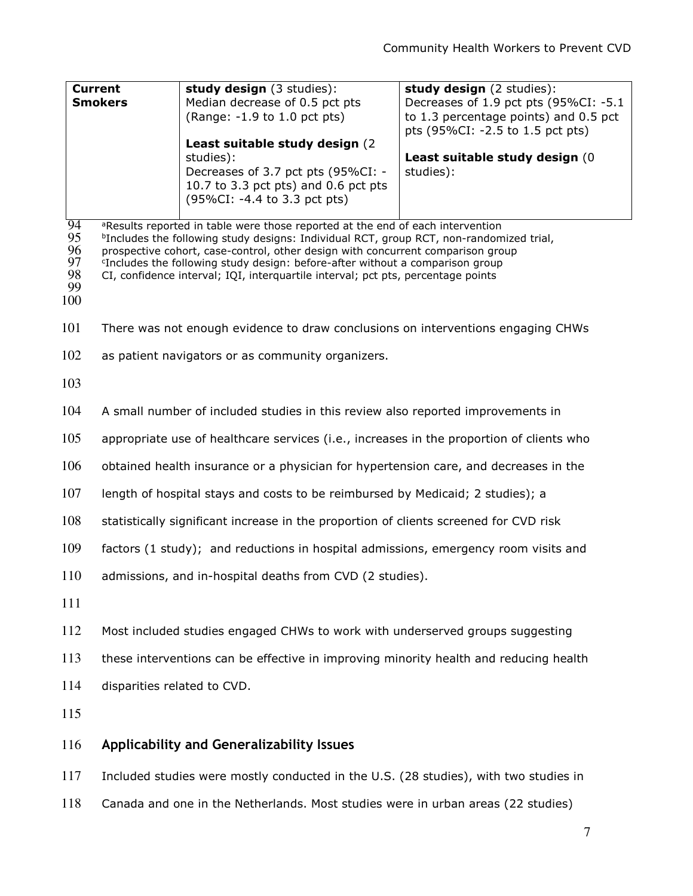| <b>Current</b><br><b>Smokers</b>        |                                                                                                                                                                                                                                                                                                                                                                                                                                                                       | study design (3 studies):<br><b>study design</b> (2 studies):<br>Decreases of 1.9 pct pts (95%CI: -5.1<br>Median decrease of 0.5 pct pts<br>to 1.3 percentage points) and 0.5 pct<br>(Range: -1.9 to 1.0 pct pts) |                                                                                  |
|-----------------------------------------|-----------------------------------------------------------------------------------------------------------------------------------------------------------------------------------------------------------------------------------------------------------------------------------------------------------------------------------------------------------------------------------------------------------------------------------------------------------------------|-------------------------------------------------------------------------------------------------------------------------------------------------------------------------------------------------------------------|----------------------------------------------------------------------------------|
|                                         |                                                                                                                                                                                                                                                                                                                                                                                                                                                                       | Least suitable study design (2)<br>studies):<br>Decreases of 3.7 pct pts (95%CI: -<br>10.7 to 3.3 pct pts) and 0.6 pct pts<br>(95%CI: -4.4 to 3.3 pct pts)                                                        | pts (95%CI: -2.5 to 1.5 pct pts)<br>Least suitable study design (0)<br>studies): |
| 94<br>95<br>96<br>97<br>98<br>99<br>100 | <sup>a</sup> Results reported in table were those reported at the end of each intervention<br><sup>b</sup> Includes the following study designs: Individual RCT, group RCT, non-randomized trial,<br>prospective cohort, case-control, other design with concurrent comparison group<br><sup>c</sup> Includes the following study design: before-after without a comparison group<br>CI, confidence interval; IQI, interquartile interval; pct pts, percentage points |                                                                                                                                                                                                                   |                                                                                  |
| 101                                     |                                                                                                                                                                                                                                                                                                                                                                                                                                                                       | There was not enough evidence to draw conclusions on interventions engaging CHWs                                                                                                                                  |                                                                                  |
| 102                                     |                                                                                                                                                                                                                                                                                                                                                                                                                                                                       | as patient navigators or as community organizers.                                                                                                                                                                 |                                                                                  |
| 103                                     |                                                                                                                                                                                                                                                                                                                                                                                                                                                                       |                                                                                                                                                                                                                   |                                                                                  |

- 104 A small number of included studies in this review also reported improvements in
- 105 appropriate use of healthcare services (i.e., increases in the proportion of clients who
- 106 obtained health insurance or a physician for hypertension care, and decreases in the
- 107 length of hospital stays and costs to be reimbursed by Medicaid; 2 studies); a
- 108 statistically significant increase in the proportion of clients screened for CVD risk
- 109 factors (1 study); and reductions in hospital admissions, emergency room visits and
- 110 admissions, and in-hospital deaths from CVD (2 studies).
- 111
- 112 Most included studies engaged CHWs to work with underserved groups suggesting
- 113 these interventions can be effective in improving minority health and reducing health
- 114 disparities related to CVD.
- 115

#### 116 Applicability and Generalizability Issues

117 Included studies were mostly conducted in the U.S. (28 studies), with two studies in

118 Canada and one in the Netherlands. Most studies were in urban areas (22 studies)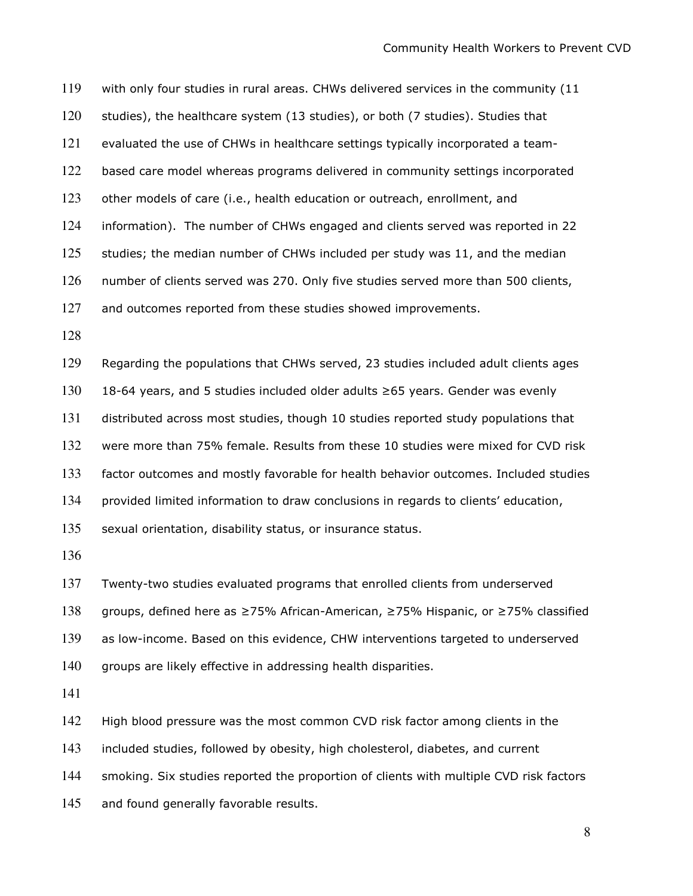with only four studies in rural areas. CHWs delivered services in the community (11 studies), the healthcare system (13 studies), or both (7 studies). Studies that evaluated the use of CHWs in healthcare settings typically incorporated a team-based care model whereas programs delivered in community settings incorporated 123 other models of care (i.e., health education or outreach, enrollment, and information). The number of CHWs engaged and clients served was reported in 22 125 studies; the median number of CHWs included per study was 11, and the median number of clients served was 270. Only five studies served more than 500 clients, 127 and outcomes reported from these studies showed improvements. Regarding the populations that CHWs served, 23 studies included adult clients ages

18-64 years, and 5 studies included older adults ≥65 years. Gender was evenly distributed across most studies, though 10 studies reported study populations that were more than 75% female. Results from these 10 studies were mixed for CVD risk factor outcomes and mostly favorable for health behavior outcomes. Included studies provided limited information to draw conclusions in regards to clients' education, 135 sexual orientation, disability status, or insurance status.

groups, defined here as ≥75% African-American, ≥75% Hispanic, or ≥75% classified as low-income. Based on this evidence, CHW interventions targeted to underserved groups are likely effective in addressing health disparities.

Twenty-two studies evaluated programs that enrolled clients from underserved

142 High blood pressure was the most common CVD risk factor among clients in the

143 included studies, followed by obesity, high cholesterol, diabetes, and current

smoking. Six studies reported the proportion of clients with multiple CVD risk factors

145 and found generally favorable results.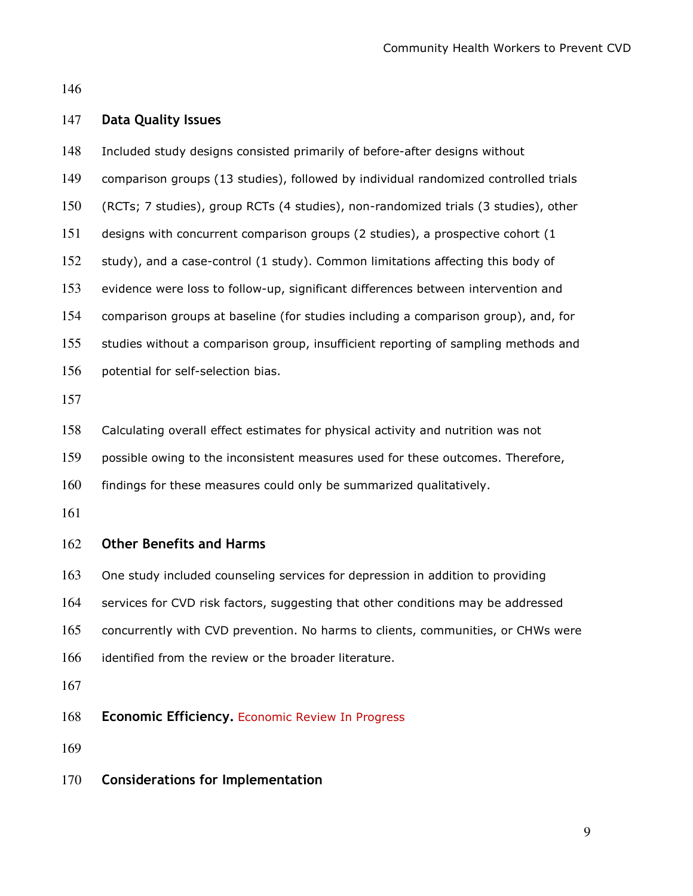#### 147 Data Quality Issues

- Included study designs consisted primarily of before-after designs without comparison groups (13 studies), followed by individual randomized controlled trials (RCTs; 7 studies), group RCTs (4 studies), non-randomized trials (3 studies), other designs with concurrent comparison groups (2 studies), a prospective cohort (1 study), and a case-control (1 study). Common limitations affecting this body of evidence were loss to follow-up, significant differences between intervention and comparison groups at baseline (for studies including a comparison group), and, for studies without a comparison group, insufficient reporting of sampling methods and potential for self-selection bias. Calculating overall effect estimates for physical activity and nutrition was not possible owing to the inconsistent measures used for these outcomes. Therefore, findings for these measures could only be summarized qualitatively. Other Benefits and Harms One study included counseling services for depression in addition to providing services for CVD risk factors, suggesting that other conditions may be addressed concurrently with CVD prevention. No harms to clients, communities, or CHWs were 166 identified from the review or the broader literature.
- 168 Economic Efficiency. Economic Review In Progress
- 
- Considerations for Implementation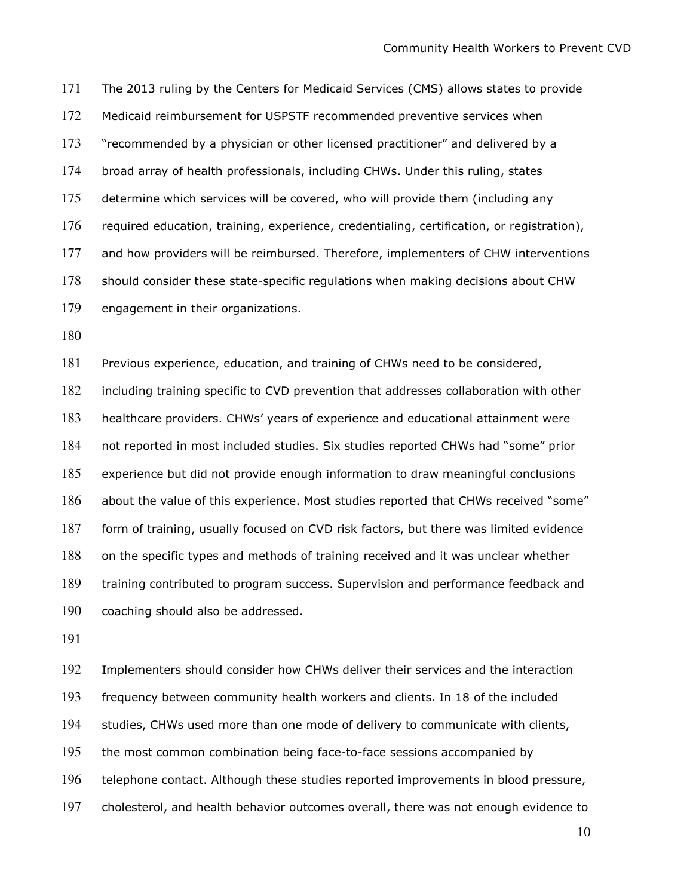The 2013 ruling by the Centers for Medicaid Services (CMS) allows states to provide Medicaid reimbursement for USPSTF recommended preventive services when 173 "recommended by a physician or other licensed practitioner" and delivered by a broad array of health professionals, including CHWs. Under this ruling, states determine which services will be covered, who will provide them (including any required education, training, experience, credentialing, certification, or registration), and how providers will be reimbursed. Therefore, implementers of CHW interventions should consider these state-specific regulations when making decisions about CHW engagement in their organizations.

Previous experience, education, and training of CHWs need to be considered, including training specific to CVD prevention that addresses collaboration with other healthcare providers. CHWs' years of experience and educational attainment were not reported in most included studies. Six studies reported CHWs had "some" prior experience but did not provide enough information to draw meaningful conclusions 186 about the value of this experience. Most studies reported that CHWs received "some" form of training, usually focused on CVD risk factors, but there was limited evidence on the specific types and methods of training received and it was unclear whether training contributed to program success. Supervision and performance feedback and coaching should also be addressed.

Implementers should consider how CHWs deliver their services and the interaction frequency between community health workers and clients. In 18 of the included studies, CHWs used more than one mode of delivery to communicate with clients, the most common combination being face-to-face sessions accompanied by telephone contact. Although these studies reported improvements in blood pressure, cholesterol, and health behavior outcomes overall, there was not enough evidence to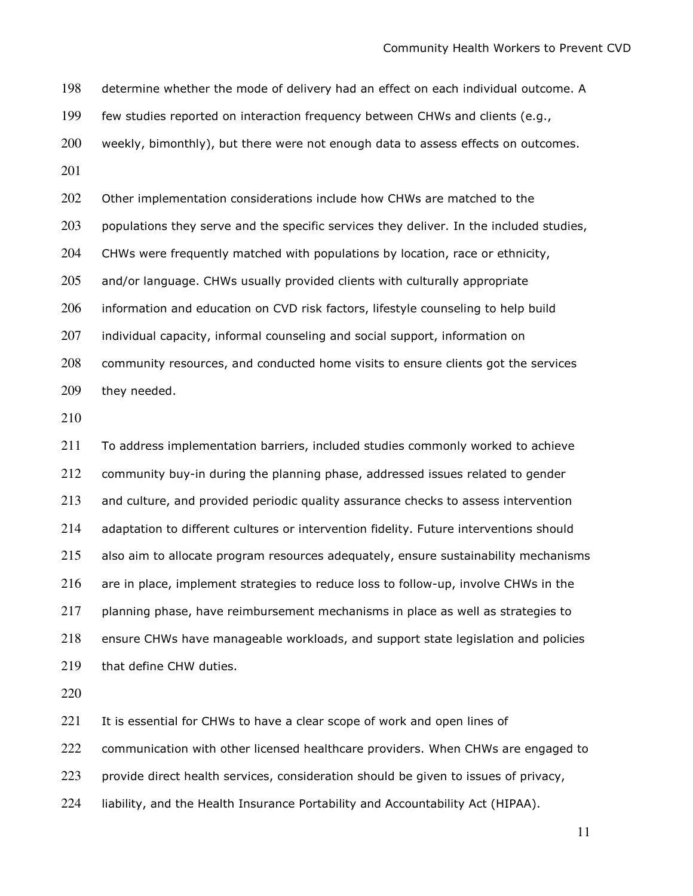determine whether the mode of delivery had an effect on each individual outcome. A few studies reported on interaction frequency between CHWs and clients (e.g., 200 weekly, bimonthly), but there were not enough data to assess effects on outcomes. 202 Other implementation considerations include how CHWs are matched to the populations they serve and the specific services they deliver. In the included studies, CHWs were frequently matched with populations by location, race or ethnicity, and/or language. CHWs usually provided clients with culturally appropriate information and education on CVD risk factors, lifestyle counseling to help build 207 individual capacity, informal counseling and social support, information on community resources, and conducted home visits to ensure clients got the services they needed.

To address implementation barriers, included studies commonly worked to achieve community buy-in during the planning phase, addressed issues related to gender and culture, and provided periodic quality assurance checks to assess intervention adaptation to different cultures or intervention fidelity. Future interventions should 215 also aim to allocate program resources adequately, ensure sustainability mechanisms are in place, implement strategies to reduce loss to follow-up, involve CHWs in the planning phase, have reimbursement mechanisms in place as well as strategies to ensure CHWs have manageable workloads, and support state legislation and policies that define CHW duties.

221 It is essential for CHWs to have a clear scope of work and open lines of

communication with other licensed healthcare providers. When CHWs are engaged to

provide direct health services, consideration should be given to issues of privacy,

liability, and the Health Insurance Portability and Accountability Act (HIPAA).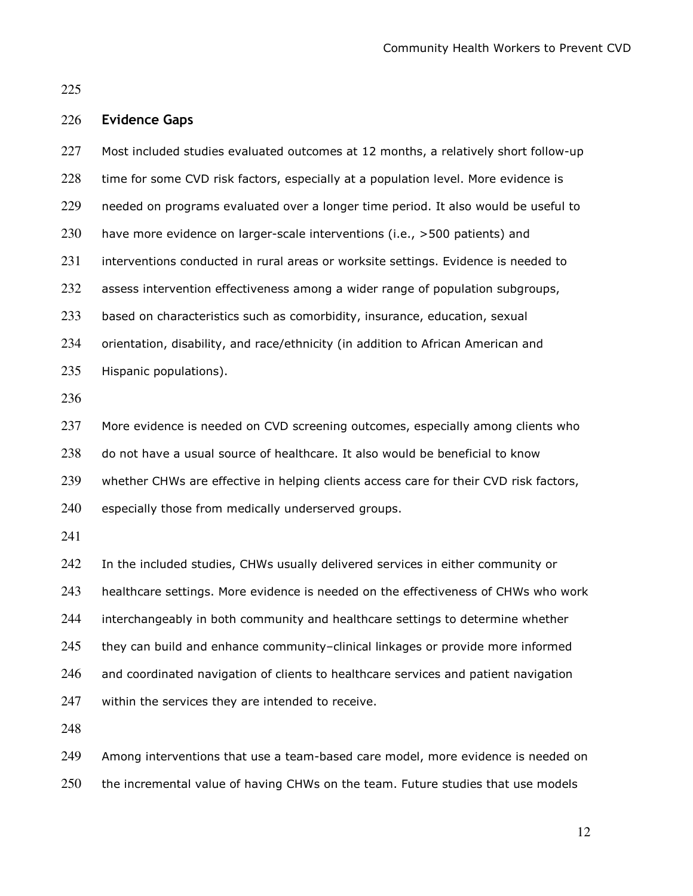Community Health Workers to Prevent CVD

# Evidence Gaps

| 227 | Most included studies evaluated outcomes at 12 months, a relatively short follow-up   |
|-----|---------------------------------------------------------------------------------------|
| 228 | time for some CVD risk factors, especially at a population level. More evidence is    |
| 229 | needed on programs evaluated over a longer time period. It also would be useful to    |
| 230 | have more evidence on larger-scale interventions (i.e., >500 patients) and            |
| 231 | interventions conducted in rural areas or worksite settings. Evidence is needed to    |
| 232 | assess intervention effectiveness among a wider range of population subgroups,        |
| 233 | based on characteristics such as comorbidity, insurance, education, sexual            |
| 234 | orientation, disability, and race/ethnicity (in addition to African American and      |
| 235 | Hispanic populations).                                                                |
| 236 |                                                                                       |
| 237 | More evidence is needed on CVD screening outcomes, especially among clients who       |
| 238 | do not have a usual source of healthcare. It also would be beneficial to know         |
| 239 | whether CHWs are effective in helping clients access care for their CVD risk factors, |
| 240 | especially those from medically underserved groups.                                   |
| 241 |                                                                                       |
| 242 | In the included studies, CHWs usually delivered services in either community or       |
| 243 | healthcare settings. More evidence is needed on the effectiveness of CHWs who work    |
| 244 | interchangeably in both community and healthcare settings to determine whether        |
| 245 | they can build and enhance community-clinical linkages or provide more informed       |
| 246 | and coordinated navigation of clients to healthcare services and patient navigation   |
| 247 | within the services they are intended to receive.                                     |
| 248 |                                                                                       |
|     |                                                                                       |

Among interventions that use a team-based care model, more evidence is needed on the incremental value of having CHWs on the team. Future studies that use models